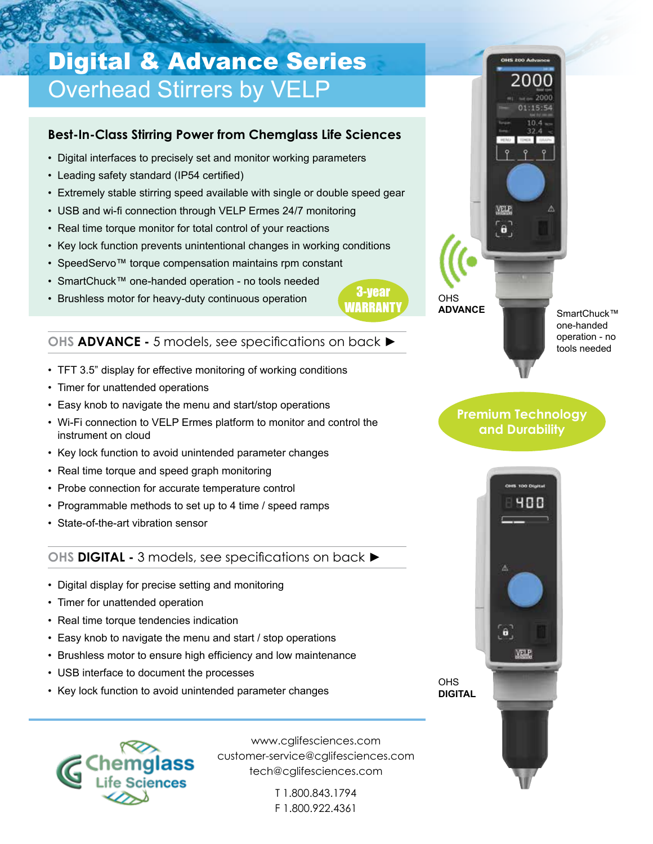## Digital & Advance Series Overhead Stirrers by VELP

#### **Best-In-Class Stirring Power from Chemglass Life Sciences**

- Digital interfaces to precisely set and monitor working parameters
- Leading safety standard (IP54 certified)
- Extremely stable stirring speed available with single or double speed gear
- USB and wi-fi connection through VELP Ermes 24/7 monitoring
- Real time torque monitor for total control of your reactions
- Key lock function prevents unintentional changes in working conditions
- SpeedServo™ torque compensation maintains rpm constant
- SmartChuck™ one-handed operation no tools needed
- Brushless motor for heavy-duty continuous operation



#### **OHS ADVANCE -** 5 models, see specifications on back **►**

- TFT 3.5" display for effective monitoring of working conditions
- Timer for unattended operations
- Easy knob to navigate the menu and start/stop operations
- Wi-Fi connection to VELP Ermes platform to monitor and control the instrument on cloud
- Key lock function to avoid unintended parameter changes
- Real time torque and speed graph monitoring
- Probe connection for accurate temperature control
- Programmable methods to set up to 4 time / speed ramps
- State-of-the-art vibration sensor

#### **OHS DIGITAL -** 3 models, see specifications on back **►**

- Digital display for precise setting and monitoring
- Timer for unattended operation
- Real time torque tendencies indication
- Easy knob to navigate the menu and start / stop operations
- Brushless motor to ensure high efficiency and low maintenance
- USB interface to document the processes
- Key lock function to avoid unintended parameter changes



www.cglifesciences.com customer-service@cglifesciences.com tech@cglifesciences.com

> T 1.800.843.1794 F 1.800.922.4361



OHS **ADVANCE**

SmartChuck™ one-handed operation - no tools needed

### **Premium Technology and Durability**



**OHS DIGITAL**